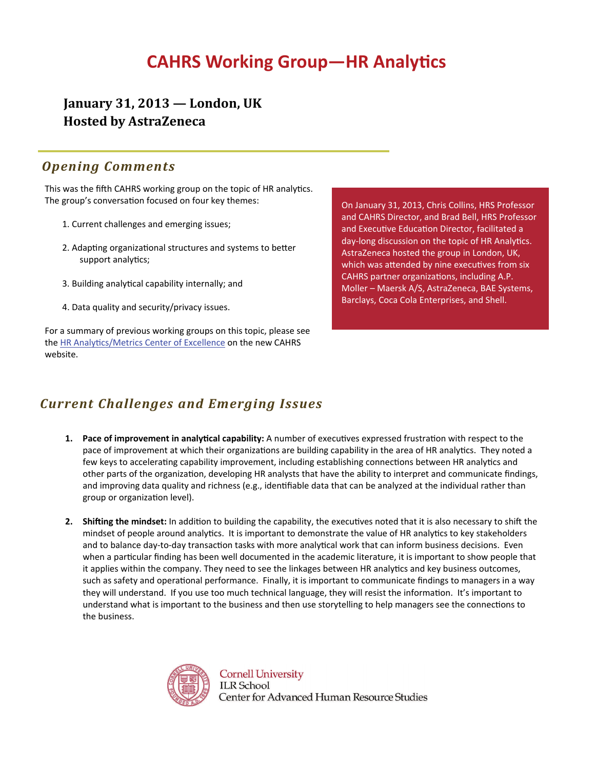## **CAHRS Working Group-HR Analytics**

**January 31, 2013 — London, UK Hosted by AstraZeneca**

#### *Opening Comments*

This was the fifth CAHRS working group on the topic of HR analytics. The group's conversation focused on four key themes:

- 1. Current challenges and emerging issues;
- 2. Adapting organizational structures and systems to better support analytics;
- 3. Building analytical capability internally; and
- 4. Data quality and security/privacy issues.

For a summary of previous working groups on this topic, please see the HR Analyti[cs/Metrics Center of Excellence](http://cahrs.ilr.cornell.edu/CentersofExcellence/data.aspx?n=HR%20Analytics/Metrics&z=CLSAZZZZZ) on the new CAHRS website.

On January 31, 2013, Chris Collins, HRS Professor and CAHRS Director, and Brad Bell, HRS Professor and Executive Education Director, facilitated a day-long discussion on the topic of HR Analytics. AstraZeneca hosted the group in London, UK, which was attended by nine executives from six CAHRS partner organizations, including A.P. Moller – Maersk A/S, AstraZeneca, BAE Systems, Barclays, Coca Cola Enterprises, and Shell.

### *Current Challenges and Emerging Issues*

- **1.** Pace of improvement in analytical capability: A number of executives expressed frustration with respect to the pace of improvement at which their organizations are building capability in the area of HR analytics. They noted a few keys to accelerating capability improvement, including establishing connections between HR analytics and other parts of the organization, developing HR analysts that have the ability to interpret and communicate findings, and improving data quality and richness (e.g., identifiable data that can be analyzed at the individual rather than group or organization level).
- **2.** Shifting the mindset: In addition to building the capability, the executives noted that it is also necessary to shift the mindset of people around analytics. It is important to demonstrate the value of HR analytics to key stakeholders and to balance day-to-day transaction tasks with more analytical work that can inform business decisions. Even when a particular finding has been well documented in the academic literature, it is important to show people that it applies within the company. They need to see the linkages between HR analytics and key business outcomes, such as safety and operational performance. Finally, it is important to communicate findings to managers in a way they will understand. If you use too much technical language, they will resist the information. It's important to understand what is important to the business and then use storytelling to help managers see the connections to the business.



**Cornell University ILR** School Center for Advanced Human Resource Studies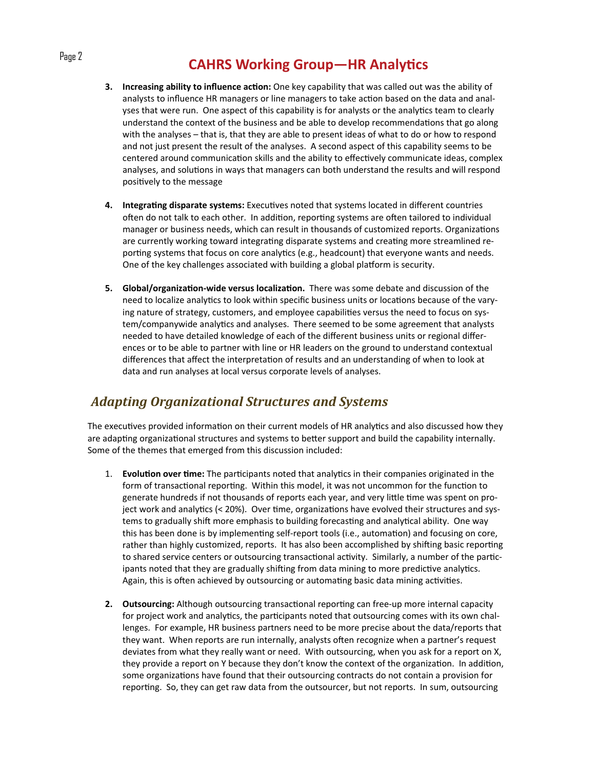### Page 2 **CAHRS** Working Group—HR Analytics

- **3. Increasing ability to influence acƟon:** One key capability that was called out was the ability of analysts to influence HR managers or line managers to take action based on the data and analyses that were run. One aspect of this capability is for analysts or the analytics team to clearly understand the context of the business and be able to develop recommendations that go along with the analyses – that is, that they are able to present ideas of what to do or how to respond and not just present the result of the analyses. A second aspect of this capability seems to be centered around communication skills and the ability to effectively communicate ideas, complex analyses, and solutions in ways that managers can both understand the results and will respond positively to the message
- **4. IntegraƟng disparate systems:** ExecuƟves noted that systems located in different countries often do not talk to each other. In addition, reporting systems are often tailored to individual manager or business needs, which can result in thousands of customized reports. Organizations are currently working toward integrating disparate systems and creating more streamlined reporting systems that focus on core analytics (e.g., headcount) that everyone wants and needs. One of the key challenges associated with building a global platform is security.
- **5. Global/organizaƟon‐wide versus localizaƟon.** There was some debate and discussion of the need to localize analytics to look within specific business units or locations because of the varying nature of strategy, customers, and employee capabilities versus the need to focus on system/companywide analytics and analyses. There seemed to be some agreement that analysts needed to have detailed knowledge of each of the different business units or regional differ‐ ences or to be able to partner with line or HR leaders on the ground to understand contextual differences that affect the interpretation of results and an understanding of when to look at data and run analyses at local versus corporate levels of analyses.

#### *Adapting Organizational Structures and Systems*

The executives provided information on their current models of HR analytics and also discussed how they are adapting organizational structures and systems to better support and build the capability internally. Some of the themes that emerged from this discussion included:

- 1. **Evolution over time:** The participants noted that analytics in their companies originated in the form of transactional reporting. Within this model, it was not uncommon for the function to generate hundreds if not thousands of reports each year, and very little time was spent on project work and analytics (< 20%). Over time, organizations have evolved their structures and systems to gradually shift more emphasis to building forecasting and analytical ability. One way this has been done is by implementing self-report tools (i.e., automation) and focusing on core, rather than highly customized, reports. It has also been accomplished by shifting basic reporting to shared service centers or outsourcing transactional activity. Similarly, a number of the participants noted that they are gradually shifting from data mining to more predictive analytics. Again, this is often achieved by outsourcing or automating basic data mining activities.
- **2. Outsourcing:** Although outsourcing transactional reporting can free-up more internal capacity for project work and analytics, the participants noted that outsourcing comes with its own challenges. For example, HR business partners need to be more precise about the data/reports that they want. When reports are run internally, analysts often recognize when a partner's request deviates from what they really want or need. With outsourcing, when you ask for a report on X, they provide a report on Y because they don't know the context of the organization. In addition, some organizations have found that their outsourcing contracts do not contain a provision for reporting. So, they can get raw data from the outsourcer, but not reports. In sum, outsourcing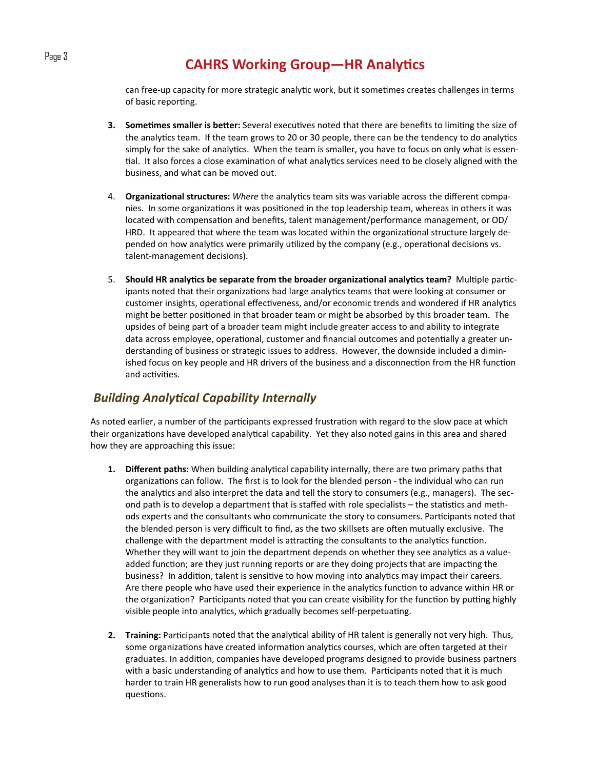can free-up capacity for more strategic analytic work, but it sometimes creates challenges in terms of basic reporting.

- **3. Sometimes smaller is better:** Several executives noted that there are benefits to limiting the size of the analytics team. If the team grows to 20 or 30 people, there can be the tendency to do analytics simply for the sake of analytics. When the team is smaller, you have to focus on only what is essential. It also forces a close examination of what analytics services need to be closely aligned with the business, and what can be moved out.
- 4. **Organizational structures:** *Where* the analytics team sits was variable across the different companies. In some organizations it was positioned in the top leadership team, whereas in others it was located with compensation and benefits, talent management/performance management, or OD/ HRD. It appeared that where the team was located within the organizational structure largely depended on how analytics were primarily utilized by the company (e.g., operational decisions vs. talent‐management decisions).
- **5.** Should HR analytics be separate from the broader organizational analytics team? Multiple participants noted that their organizations had large analytics teams that were looking at consumer or customer insights, operational effectiveness, and/or economic trends and wondered if HR analytics might be better positioned in that broader team or might be absorbed by this broader team. The upsides of being part of a broader team might include greater access to and ability to integrate data across employee, operational, customer and financial outcomes and potentially a greater understanding of business or strategic issues to address. However, the downside included a dimin‐ ished focus on key people and HR drivers of the business and a disconnection from the HR function and activities.

#### *Building AnalyƟcal Capability Internally*

As noted earlier, a number of the participants expressed frustration with regard to the slow pace at which their organizations have developed analytical capability. Yet they also noted gains in this area and shared how they are approaching this issue:

- **1.** Different paths: When building analytical capability internally, there are two primary paths that organizations can follow. The first is to look for the blended person - the individual who can run the analytics and also interpret the data and tell the story to consumers (e.g., managers). The second path is to develop a department that is staffed with role specialists – the statistics and methods experts and the consultants who communicate the story to consumers. Participants noted that the blended person is very difficult to find, as the two skillsets are often mutually exclusive. The challenge with the department model is attracting the consultants to the analytics function. Whether they will want to join the department depends on whether they see analytics as a valueadded function; are they just running reports or are they doing projects that are impacting the business? In addition, talent is sensitive to how moving into analytics may impact their careers. Are there people who have used their experience in the analytics function to advance within HR or the organization? Participants noted that you can create visibility for the function by putting highly visible people into analytics, which gradually becomes self-perpetuating.
- **2. Training:** Participants noted that the analytical ability of HR talent is generally not very high. Thus, some organizations have created information analytics courses, which are often targeted at their graduates. In addition, companies have developed programs designed to provide business partners with a basic understanding of analytics and how to use them. Participants noted that it is much harder to train HR generalists how to run good analyses than it is to teach them how to ask good questions.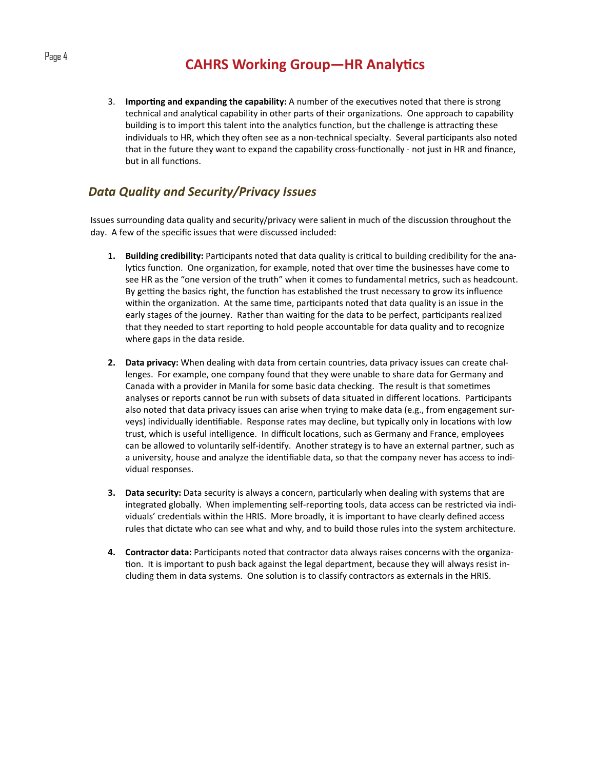### Page 4 **CAHRS** Working Group—HR Analytics

3. **Importing and expanding the capability:** A number of the executives noted that there is strong technical and analytical capability in other parts of their organizations. One approach to capability building is to import this talent into the analytics function, but the challenge is attracting these individuals to HR, which they often see as a non-technical specialty. Several participants also noted that in the future they want to expand the capability cross-functionally - not just in HR and finance, but in all functions.

#### *Data Quality and Security/Privacy Issues*

Issues surrounding data quality and security/privacy were salient in much of the discussion throughout the day. A few of the specific issues that were discussed included:

- **1.** Building credibility: Participants noted that data quality is critical to building credibility for the analytics function. One organization, for example, noted that over time the businesses have come to see HR as the "one version of the truth" when it comes to fundamental metrics, such as headcount. By getting the basics right, the function has established the trust necessary to grow its influence within the organization. At the same time, participants noted that data quality is an issue in the early stages of the journey. Rather than waiting for the data to be perfect, participants realized that they needed to start reporting to hold people accountable for data quality and to recognize where gaps in the data reside.
- **2. Data privacy:** When dealing with data from certain countries, data privacy issues can create chal‐ lenges. For example, one company found that they were unable to share data for Germany and Canada with a provider in Manila for some basic data checking. The result is that sometimes analyses or reports cannot be run with subsets of data situated in different locations. Participants also noted that data privacy issues can arise when trying to make data (e.g., from engagement surveys) individually identifiable. Response rates may decline, but typically only in locations with low trust, which is useful intelligence. In difficult locations, such as Germany and France, employees can be allowed to voluntarily self-identify. Another strategy is to have an external partner, such as a university, house and analyze the identifiable data, so that the company never has access to individual responses.
- **3.** Data security: Data security is always a concern, particularly when dealing with systems that are integrated globally. When implementing self-reporting tools, data access can be restricted via individuals' credentials within the HRIS. More broadly, it is important to have clearly defined access rules that dictate who can see what and why, and to build those rules into the system architecture.
- **4. Contractor data:** Participants noted that contractor data always raises concerns with the organization. It is important to push back against the legal department, because they will always resist including them in data systems. One solution is to classify contractors as externals in the HRIS.